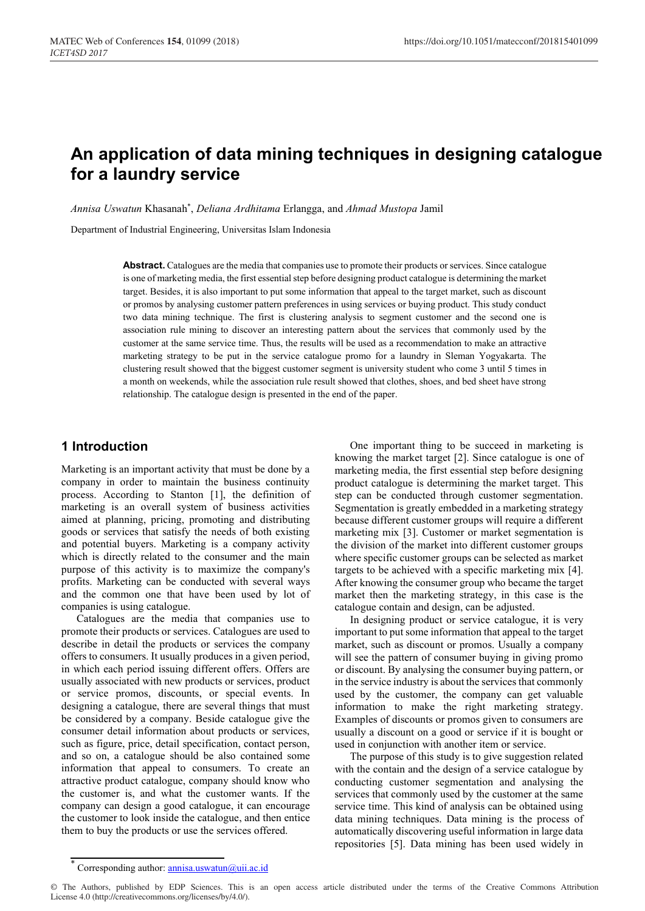# **An application of data mining techniques in designing catalogue for a laundry service**

*Annisa Uswatun* Khasanah\* , *Deliana Ardhitama* Erlangga, and *Ahmad Mustopa* Jamil

Department of Industrial Engineering, Universitas Islam Indonesia

**Abstract.** Catalogues are the media that companies use to promote their products or services. Since catalogue is one of marketing media, the first essential step before designing product catalogue is determining the market target. Besides, it is also important to put some information that appeal to the target market, such as discount or promos by analysing customer pattern preferences in using services or buying product. This study conduct two data mining technique. The first is clustering analysis to segment customer and the second one is association rule mining to discover an interesting pattern about the services that commonly used by the customer at the same service time. Thus, the results will be used as a recommendation to make an attractive marketing strategy to be put in the service catalogue promo for a laundry in Sleman Yogyakarta. The clustering result showed that the biggest customer segment is university student who come 3 until 5 times in a month on weekends, while the association rule result showed that clothes, shoes, and bed sheet have strong relationship. The catalogue design is presented in the end of the paper.

### **1 Introduction**

Marketing is an important activity that must be done by a company in order to maintain the business continuity process. According to Stanton [1], the definition of marketing is an overall system of business activities aimed at planning, pricing, promoting and distributing goods or services that satisfy the needs of both existing and potential buyers. Marketing is a company activity which is directly related to the consumer and the main purpose of this activity is to maximize the company's profits. Marketing can be conducted with several ways and the common one that have been used by lot of companies is using catalogue.

Catalogues are the media that companies use to promote their products or services. Catalogues are used to describe in detail the products or services the company offers to consumers. It usually produces in a given period, in which each period issuing different offers. Offers are usually associated with new products or services, product or service promos, discounts, or special events. In designing a catalogue, there are several things that must be considered by a company. Beside catalogue give the consumer detail information about products or services, such as figure, price, detail specification, contact person, and so on, a catalogue should be also contained some information that appeal to consumers. To create an attractive product catalogue, company should know who the customer is, and what the customer wants. If the company can design a good catalogue, it can encourage the customer to look inside the catalogue, and then entice them to buy the products or use the services offered.

One important thing to be succeed in marketing is knowing the market target [2]. Since catalogue is one of marketing media, the first essential step before designing product catalogue is determining the market target. This step can be conducted through customer segmentation. Segmentation is greatly embedded in a marketing strategy because different customer groups will require a different marketing mix [3]. Customer or market segmentation is the division of the market into different customer groups where specific customer groups can be selected as market targets to be achieved with a specific marketing mix [4]. After knowing the consumer group who became the target market then the marketing strategy, in this case is the catalogue contain and design, can be adjusted.

In designing product or service catalogue, it is very important to put some information that appeal to the target market, such as discount or promos. Usually a company will see the pattern of consumer buying in giving promo or discount. By analysing the consumer buying pattern, or in the service industry is about the services that commonly used by the customer, the company can get valuable information to make the right marketing strategy. Examples of discounts or promos given to consumers are usually a discount on a good or service if it is bought or used in conjunction with another item or service.

The purpose of this study is to give suggestion related with the contain and the design of a service catalogue by conducting customer segmentation and analysing the services that commonly used by the customer at the same service time. This kind of analysis can be obtained using data mining techniques. Data mining is the process of automatically discovering useful information in large data repositories [5]. Data mining has been used widely in

Corresponding author: annisa.uswatun@uii.ac.id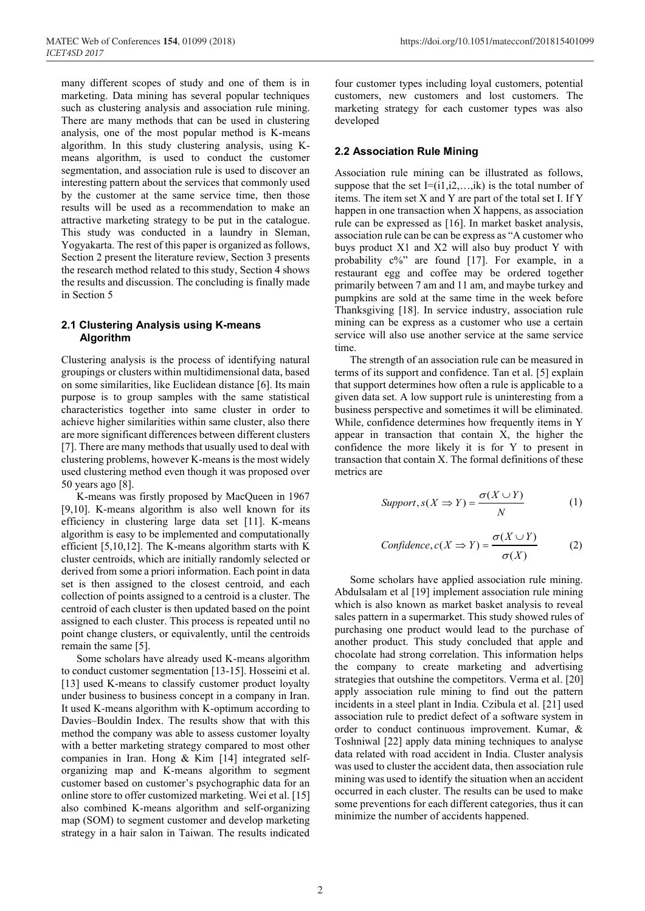many different scopes of study and one of them is in marketing. Data mining has several popular techniques such as clustering analysis and association rule mining. There are many methods that can be used in clustering analysis, one of the most popular method is K-means algorithm. In this study clustering analysis, using Kmeans algorithm, is used to conduct the customer segmentation, and association rule is used to discover an interesting pattern about the services that commonly used by the customer at the same service time, then those results will be used as a recommendation to make an attractive marketing strategy to be put in the catalogue. This study was conducted in a laundry in Sleman, Yogyakarta. The rest of this paper is organized as follows, Section 2 present the literature review, Section 3 presents the research method related to this study, Section 4 shows the results and discussion. The concluding is finally made in Section 5

#### **2.1 Clustering Analysis using K-means Algorithm**

Clustering analysis is the process of identifying natural groupings or clusters within multidimensional data, based on some similarities, like Euclidean distance [6]. Its main purpose is to group samples with the same statistical characteristics together into same cluster in order to achieve higher similarities within same cluster, also there are more significant differences between different clusters [7]. There are many methods that usually used to deal with clustering problems, however K-means is the most widely used clustering method even though it was proposed over 50 years ago [8].

K-means was firstly proposed by MacQueen in 1967 [9,10]. K-means algorithm is also well known for its efficiency in clustering large data set [11]. K-means algorithm is easy to be implemented and computationally efficient [5,10,12]. The K-means algorithm starts with K cluster centroids, which are initially randomly selected or derived from some a priori information. Each point in data set is then assigned to the closest centroid, and each collection of points assigned to a centroid is a cluster. The centroid of each cluster is then updated based on the point assigned to each cluster. This process is repeated until no point change clusters, or equivalently, until the centroids remain the same [5].

Some scholars have already used K-means algorithm to conduct customer segmentation [13-15]. Hosseini et al. [13] used K-means to classify customer product loyalty under business to business concept in a company in Iran. It used K-means algorithm with K-optimum according to Davies–Bouldin Index. The results show that with this method the company was able to assess customer loyalty with a better marketing strategy compared to most other companies in Iran. Hong & Kim [14] integrated selforganizing map and K-means algorithm to segment customer based on customer's psychographic data for an online store to offer customized marketing. Wei et al. [15] also combined K-means algorithm and self-organizing map (SOM) to segment customer and develop marketing strategy in a hair salon in Taiwan. The results indicated

four customer types including loyal customers, potential customers, new customers and lost customers. The marketing strategy for each customer types was also developed

#### **2.2 Association Rule Mining**

Association rule mining can be illustrated as follows, suppose that the set  $I=(i1,i2,\ldots,ik)$  is the total number of items. The item set X and Y are part of the total set I. If Y happen in one transaction when X happens, as association rule can be expressed as [16]. In market basket analysis, association rule can be can be express as "A customer who buys product X1 and X2 will also buy product Y with probability c%" are found [17]. For example, in a restaurant egg and coffee may be ordered together primarily between 7 am and 11 am, and maybe turkey and pumpkins are sold at the same time in the week before Thanksgiving [18]. In service industry, association rule mining can be express as a customer who use a certain service will also use another service at the same service time.

The strength of an association rule can be measured in terms of its support and confidence. Tan et al. [5] explain that support determines how often a rule is applicable to a given data set. A low support rule is uninteresting from a business perspective and sometimes it will be eliminated. While, confidence determines how frequently items in Y appear in transaction that contain X, the higher the confidence the more likely it is for Y to present in transaction that contain X. The formal definitions of these metrics are

$$
Support, s(X \Rightarrow Y) = \frac{\sigma(X \cup Y)}{N}
$$
 (1)

$$
Confidence, c(X \Rightarrow Y) = \frac{\sigma(X \cup Y)}{\sigma(X)}
$$
 (2)

Some scholars have applied association rule mining. Abdulsalam et al [19] implement association rule mining which is also known as market basket analysis to reveal sales pattern in a supermarket. This study showed rules of purchasing one product would lead to the purchase of another product. This study concluded that apple and chocolate had strong correlation. This information helps the company to create marketing and advertising strategies that outshine the competitors. Verma et al. [20] apply association rule mining to find out the pattern incidents in a steel plant in India. Czibula et al. [21] used association rule to predict defect of a software system in order to conduct continuous improvement. Kumar, & Toshniwal [22] apply data mining techniques to analyse data related with road accident in India. Cluster analysis was used to cluster the accident data, then association rule mining was used to identify the situation when an accident occurred in each cluster. The results can be used to make some preventions for each different categories, thus it can minimize the number of accidents happened.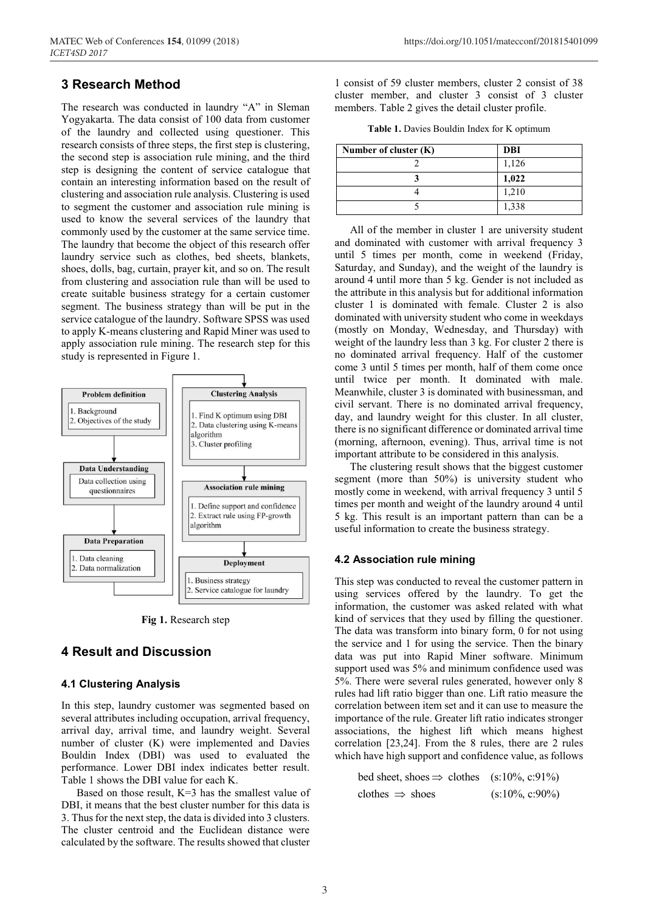## **3 Research Method**

The research was conducted in laundry "A" in Sleman Yogyakarta. The data consist of 100 data from customer of the laundry and collected using questioner. This research consists of three steps, the first step is clustering, the second step is association rule mining, and the third step is designing the content of service catalogue that contain an interesting information based on the result of clustering and association rule analysis. Clustering is used to segment the customer and association rule mining is used to know the several services of the laundry that commonly used by the customer at the same service time. The laundry that become the object of this research offer laundry service such as clothes, bed sheets, blankets, shoes, dolls, bag, curtain, prayer kit, and so on. The result from clustering and association rule than will be used to create suitable business strategy for a certain customer segment. The business strategy than will be put in the service catalogue of the laundry. Software SPSS was used to apply K-means clustering and Rapid Miner was used to apply association rule mining. The research step for this study is represented in Figure 1.



**Fig 1.** Research step

# **4 Result and Discussion**

#### **4.1 Clustering Analysis**

In this step, laundry customer was segmented based on several attributes including occupation, arrival frequency, arrival day, arrival time, and laundry weight. Several number of cluster (K) were implemented and Davies Bouldin Index (DBI) was used to evaluated the performance. Lower DBI index indicates better result. Table 1 shows the DBI value for each K.

Based on those result,  $K=3$  has the smallest value of DBI, it means that the best cluster number for this data is 3. Thus for the next step, the data is divided into 3 clusters. The cluster centroid and the Euclidean distance were calculated by the software. The results showed that cluster

1 consist of 59 cluster members, cluster 2 consist of 38 cluster member, and cluster 3 consist of 3 cluster members. Table 2 gives the detail cluster profile.

**Table 1.** Davies Bouldin Index for K optimum

| Number of cluster (K) | <b>DBI</b> |
|-----------------------|------------|
|                       | 1,126      |
|                       | 1,022      |
|                       | 1,210      |
|                       | 1,338      |

All of the member in cluster 1 are university student and dominated with customer with arrival frequency 3 until 5 times per month, come in weekend (Friday, Saturday, and Sunday), and the weight of the laundry is around 4 until more than 5 kg. Gender is not included as the attribute in this analysis but for additional information cluster 1 is dominated with female. Cluster 2 is also dominated with university student who come in weekdays (mostly on Monday, Wednesday, and Thursday) with weight of the laundry less than 3 kg. For cluster 2 there is no dominated arrival frequency. Half of the customer come 3 until 5 times per month, half of them come once until twice per month. It dominated with male. Meanwhile, cluster 3 is dominated with businessman, and civil servant. There is no dominated arrival frequency, day, and laundry weight for this cluster. In all cluster, there is no significant difference or dominated arrival time (morning, afternoon, evening). Thus, arrival time is not important attribute to be considered in this analysis.

The clustering result shows that the biggest customer segment (more than 50%) is university student who mostly come in weekend, with arrival frequency 3 until 5 times per month and weight of the laundry around 4 until 5 kg. This result is an important pattern than can be a useful information to create the business strategy.

#### **4.2 Association rule mining**

This step was conducted to reveal the customer pattern in using services offered by the laundry. To get the information, the customer was asked related with what kind of services that they used by filling the questioner. The data was transform into binary form, 0 for not using the service and 1 for using the service. Then the binary data was put into Rapid Miner software. Minimum support used was 5% and minimum confidence used was 5%. There were several rules generated, however only 8 rules had lift ratio bigger than one. Lift ratio measure the correlation between item set and it can use to measure the importance of the rule. Greater lift ratio indicates stronger associations, the highest lift which means highest correlation [23,24]. From the 8 rules, there are 2 rules which have high support and confidence value, as follows

| bed sheet, shoes $\Rightarrow$ clothes (s:10%, c:91%) |                    |
|-------------------------------------------------------|--------------------|
| clothes $\Rightarrow$ shoes                           | $(s:10\%, c:90\%)$ |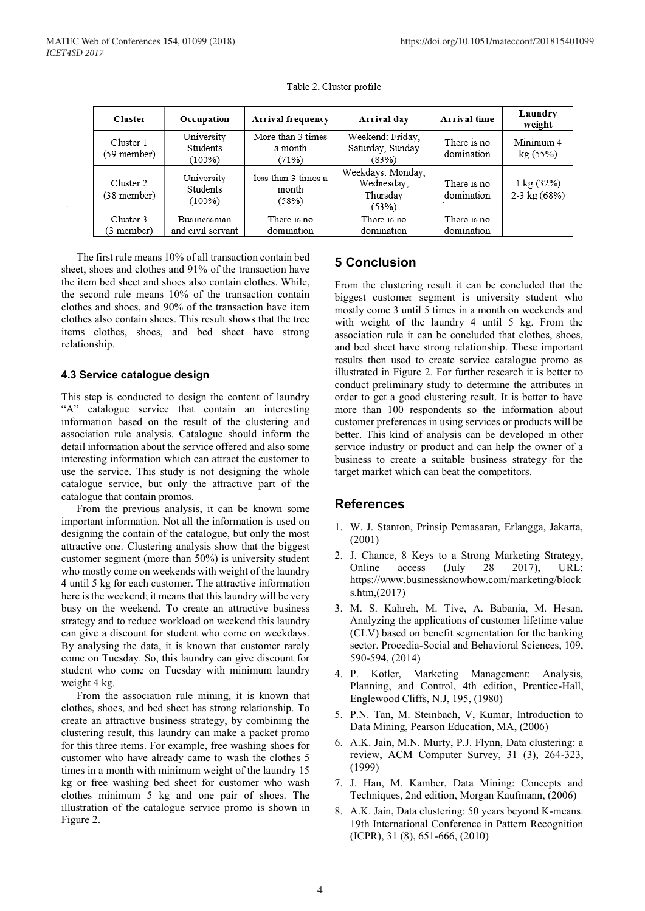| <b>Cluster</b>             | Occupation                          | <b>Arrival frequency</b>              | Arrival day                                          | Arrival time              | Laundry<br>weight          |
|----------------------------|-------------------------------------|---------------------------------------|------------------------------------------------------|---------------------------|----------------------------|
| Cluster 1<br>$(59$ member) | University<br>Students<br>$(100\%)$ | More than 3 times<br>a month<br>(71%) | Weekend: Friday,<br>Saturday, Sunday<br>(83%)        | There is no<br>domination | Minimum 4<br>kg (55%)      |
| Cluster 2<br>(38 member)   | University<br>Students<br>$(100\%)$ | less than 3 times a<br>month<br>(58%) | Weekdays: Monday,<br>Wednesday,<br>Thursday<br>(53%) | There is no<br>domination | 1 kg (32%)<br>2-3 kg (68%) |
| Cluster 3<br>(3 member)    | Businessman<br>and civil servant    | There is no<br>domination             | There is no<br>domination                            | There is no<br>domination |                            |

#### Table 2. Cluster profile

The first rule means 10% of all transaction contain bed sheet, shoes and clothes and 91% of the transaction have the item bed sheet and shoes also contain clothes. While, the second rule means 10% of the transaction contain clothes and shoes, and 90% of the transaction have item clothes also contain shoes. This result shows that the tree items clothes, shoes, and bed sheet have strong relationship.

#### **4.3 Service catalogue design**

This step is conducted to design the content of laundry "A" catalogue service that contain an interesting information based on the result of the clustering and association rule analysis. Catalogue should inform the detail information about the service offered and also some interesting information which can attract the customer to use the service. This study is not designing the whole catalogue service, but only the attractive part of the catalogue that contain promos.

From the previous analysis, it can be known some important information. Not all the information is used on designing the contain of the catalogue, but only the most attractive one. Clustering analysis show that the biggest customer segment (more than 50%) is university student who mostly come on weekends with weight of the laundry 4 until 5 kg for each customer. The attractive information here is the weekend; it means that this laundry will be very busy on the weekend. To create an attractive business strategy and to reduce workload on weekend this laundry can give a discount for student who come on weekdays. By analysing the data, it is known that customer rarely come on Tuesday. So, this laundry can give discount for student who come on Tuesday with minimum laundry weight 4 kg.

From the association rule mining, it is known that clothes, shoes, and bed sheet has strong relationship. To create an attractive business strategy, by combining the clustering result, this laundry can make a packet promo for this three items. For example, free washing shoes for customer who have already came to wash the clothes 5 times in a month with minimum weight of the laundry 15 kg or free washing bed sheet for customer who wash clothes minimum 5 kg and one pair of shoes. The illustration of the catalogue service promo is shown in Figure 2.

# **5 Conclusion**

From the clustering result it can be concluded that the biggest customer segment is university student who mostly come 3 until 5 times in a month on weekends and with weight of the laundry 4 until 5 kg. From the association rule it can be concluded that clothes, shoes, and bed sheet have strong relationship. These important results then used to create service catalogue promo as illustrated in Figure 2. For further research it is better to conduct preliminary study to determine the attributes in order to get a good clustering result. It is better to have more than 100 respondents so the information about customer preferences in using services or products will be better. This kind of analysis can be developed in other service industry or product and can help the owner of a business to create a suitable business strategy for the target market which can beat the competitors.

## **References**

- 1. W. J. Stanton, Prinsip Pemasaran, Erlangga, Jakarta, (2001)
- 2. J. Chance, 8 Keys to a Strong Marketing Strategy, Online access (July 28 2017), URL: https://www.businessknowhow.com/marketing/block s.htm,(2017)
- 3. M. S. Kahreh, M. Tive, A. Babania, M. Hesan, Analyzing the applications of customer lifetime value (CLV) based on benefit segmentation for the banking sector. Procedia-Social and Behavioral Sciences, 109, 590-594, (2014)
- 4. P. Kotler, Marketing Management: Analysis, Planning, and Control, 4th edition, Prentice-Hall, Englewood Cliffs, N.J, 195, (1980)
- 5. P.N. Tan, M. Steinbach, V, Kumar, Introduction to Data Mining, Pearson Education, MA, (2006)
- 6. A.K. Jain, M.N. Murty, P.J. Flynn, Data clustering: a review, ACM Computer Survey, 31 (3), 264-323, (1999)
- 7. J. Han, M. Kamber, Data Mining: Concepts and Techniques, 2nd edition, Morgan Kaufmann, (2006)
- 8. A.K. Jain, Data clustering: 50 years beyond K-means. 19th International Conference in Pattern Recognition (ICPR), 31 (8), 651-666, (2010)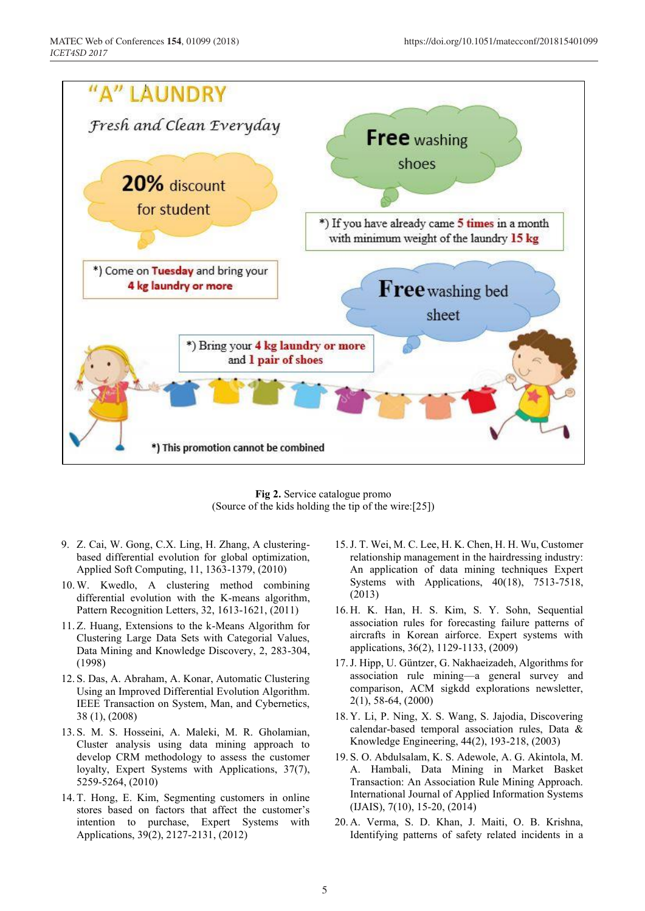

**Fig 2.** Service catalogue promo (Source of the kids holding the tip of the wire:[25])

- 9. Z. Cai, W. Gong, C.X. Ling, H. Zhang, A clusteringbased differential evolution for global optimization, Applied Soft Computing, 11, 1363-1379, (2010)
- 10. W. Kwedlo, A clustering method combining differential evolution with the K-means algorithm, Pattern Recognition Letters, 32, 1613-1621, (2011)
- 11. Z. Huang, Extensions to the k-Means Algorithm for Clustering Large Data Sets with Categorial Values, Data Mining and Knowledge Discovery, 2, 283-304, (1998)
- 12. S. Das, A. Abraham, A. Konar, Automatic Clustering Using an Improved Differential Evolution Algorithm. IEEE Transaction on System, Man, and Cybernetics, 38 (1), (2008)
- 13. S. M. S. Hosseini, A. Maleki, M. R. Gholamian, Cluster analysis using data mining approach to develop CRM methodology to assess the customer loyalty, Expert Systems with Applications, 37(7), 5259-5264, (2010)
- 14. T. Hong, E. Kim, Segmenting customers in online stores based on factors that affect the customer's intention to purchase, Expert Systems with Applications, 39(2), 2127-2131, (2012)
- 15.J. T. Wei, M. C. Lee, H. K. Chen, H. H. Wu, Customer relationship management in the hairdressing industry: An application of data mining techniques Expert Systems with Applications, 40(18), 7513-7518, (2013)
- 16. H. K. Han, H. S. Kim, S. Y. Sohn, Sequential association rules for forecasting failure patterns of aircrafts in Korean airforce. Expert systems with applications, 36(2), 1129-1133, (2009)
- 17.J. Hipp, U. Güntzer, G. Nakhaeizadeh, Algorithms for association rule mining—a general survey and comparison, ACM sigkdd explorations newsletter, 2(1), 58-64, (2000)
- 18. Y. Li, P. Ning, X. S. Wang, S. Jajodia, Discovering calendar-based temporal association rules, Data & Knowledge Engineering, 44(2), 193-218, (2003)
- 19. S. O. Abdulsalam, K. S. Adewole, A. G. Akintola, M. A. Hambali, Data Mining in Market Basket Transaction: An Association Rule Mining Approach. International Journal of Applied Information Systems (IJAIS), 7(10), 15-20, (2014)
- 20. A. Verma, S. D. Khan, J. Maiti, O. B. Krishna, Identifying patterns of safety related incidents in a